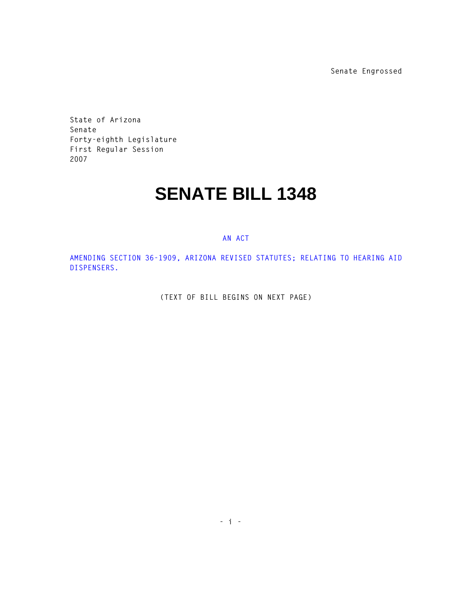**Senate Engrossed**

**State of Arizona Senate Forty-eighth Legislature First Regular Session 2007** 

## **SENATE BILL 1348**

## **AN ACT**

**AMENDING SECTION 36-1909, ARIZONA REVISED STATUTES; RELATING TO HEARING AID DISPENSERS.** 

**(TEXT OF BILL BEGINS ON NEXT PAGE)**